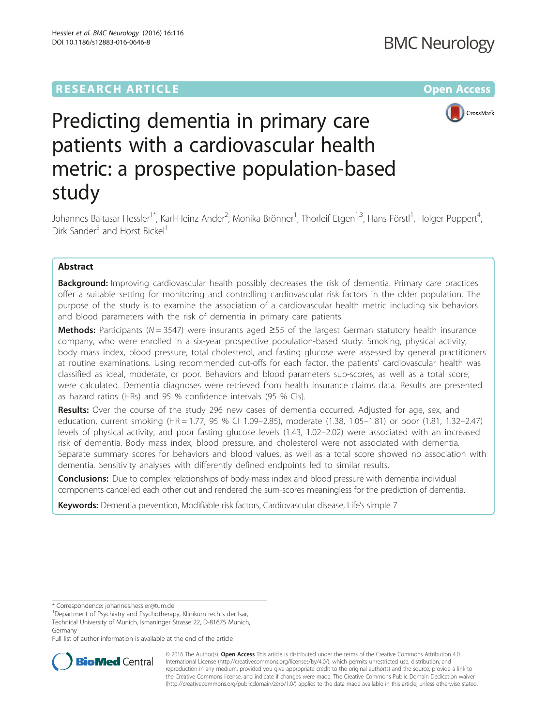# **RESEARCH ARTICLE External Structure Community Community Community Community Community Community Community Community**



# Predicting dementia in primary care patients with a cardiovascular health metric: a prospective population-based study

Johannes Baltasar Hessler<sup>1\*</sup>, Karl-Heinz Ander<sup>2</sup>, Monika Brönner<sup>1</sup>, Thorleif Etgen<sup>1,3</sup>, Hans Förstl<sup>1</sup>, Holger Poppert<sup>4</sup> , Dirk Sander<sup>5</sup> and Horst Bickel<sup>1</sup>

# Abstract

**Background:** Improving cardiovascular health possibly decreases the risk of dementia. Primary care practices offer a suitable setting for monitoring and controlling cardiovascular risk factors in the older population. The purpose of the study is to examine the association of a cardiovascular health metric including six behaviors and blood parameters with the risk of dementia in primary care patients.

Methods: Participants (N = 3547) were insurants aged  $\geq$ 55 of the largest German statutory health insurance company, who were enrolled in a six-year prospective population-based study. Smoking, physical activity, body mass index, blood pressure, total cholesterol, and fasting glucose were assessed by general practitioners at routine examinations. Using recommended cut-offs for each factor, the patients' cardiovascular health was classified as ideal, moderate, or poor. Behaviors and blood parameters sub-scores, as well as a total score, were calculated. Dementia diagnoses were retrieved from health insurance claims data. Results are presented as hazard ratios (HRs) and 95 % confidence intervals (95 % CIs).

Results: Over the course of the study 296 new cases of dementia occurred. Adjusted for age, sex, and education, current smoking (HR = 1.77, 95 % CI 1.09–2.85), moderate (1.38, 1.05–1.81) or poor (1.81, 1.32–2.47) levels of physical activity, and poor fasting glucose levels (1.43, 1.02–2.02) were associated with an increased risk of dementia. Body mass index, blood pressure, and cholesterol were not associated with dementia. Separate summary scores for behaviors and blood values, as well as a total score showed no association with dementia. Sensitivity analyses with differently defined endpoints led to similar results.

**Conclusions:** Due to complex relationships of body-mass index and blood pressure with dementia individual components cancelled each other out and rendered the sum-scores meaningless for the prediction of dementia.

Keywords: Dementia prevention, Modifiable risk factors, Cardiovascular disease, Life's simple 7

Full list of author information is available at the end of the article



© 2016 The Author(s). Open Access This article is distributed under the terms of the Creative Commons Attribution 4.0 International License [\(http://creativecommons.org/licenses/by/4.0/](http://creativecommons.org/licenses/by/4.0/)), which permits unrestricted use, distribution, and reproduction in any medium, provided you give appropriate credit to the original author(s) and the source, provide a link to the Creative Commons license, and indicate if changes were made. The Creative Commons Public Domain Dedication waiver [\(http://creativecommons.org/publicdomain/zero/1.0/](http://creativecommons.org/publicdomain/zero/1.0/)) applies to the data made available in this article, unless otherwise stated.

<sup>\*</sup> Correspondence: [johannes.hessler@tum.de](mailto:johannes.hessler@tum.de) <sup>1</sup>

<sup>&</sup>lt;sup>1</sup>Department of Psychiatry and Psychotherapy, Klinikum rechts der Isar, Technical University of Munich, Ismaninger Strasse 22, D-81675 Munich, Germany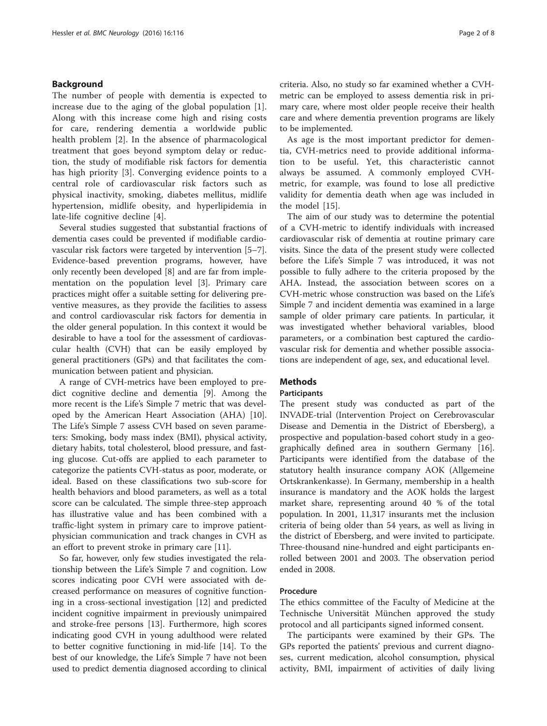# Background

The number of people with dementia is expected to increase due to the aging of the global population [\[1](#page-6-0)]. Along with this increase come high and rising costs for care, rendering dementia a worldwide public health problem [[2\]](#page-6-0). In the absence of pharmacological treatment that goes beyond symptom delay or reduction, the study of modifiable risk factors for dementia has high priority [[3\]](#page-6-0). Converging evidence points to a central role of cardiovascular risk factors such as physical inactivity, smoking, diabetes mellitus, midlife hypertension, midlife obesity, and hyperlipidemia in late-life cognitive decline [\[4](#page-7-0)].

Several studies suggested that substantial fractions of dementia cases could be prevented if modifiable cardiovascular risk factors were targeted by intervention [\[5](#page-7-0)–[7](#page-7-0)]. Evidence-based prevention programs, however, have only recently been developed [\[8](#page-7-0)] and are far from implementation on the population level [[3\]](#page-6-0). Primary care practices might offer a suitable setting for delivering preventive measures, as they provide the facilities to assess and control cardiovascular risk factors for dementia in the older general population. In this context it would be desirable to have a tool for the assessment of cardiovascular health (CVH) that can be easily employed by general practitioners (GPs) and that facilitates the communication between patient and physician.

A range of CVH-metrics have been employed to predict cognitive decline and dementia [[9\]](#page-7-0). Among the more recent is the Life's Simple 7 metric that was developed by the American Heart Association (AHA) [\[10](#page-7-0)]. The Life's Simple 7 assess CVH based on seven parameters: Smoking, body mass index (BMI), physical activity, dietary habits, total cholesterol, blood pressure, and fasting glucose. Cut-offs are applied to each parameter to categorize the patients CVH-status as poor, moderate, or ideal. Based on these classifications two sub-score for health behaviors and blood parameters, as well as a total score can be calculated. The simple three-step approach has illustrative value and has been combined with a traffic-light system in primary care to improve patientphysician communication and track changes in CVH as an effort to prevent stroke in primary care [[11](#page-7-0)].

So far, however, only few studies investigated the relationship between the Life's Simple 7 and cognition. Low scores indicating poor CVH were associated with decreased performance on measures of cognitive functioning in a cross-sectional investigation [\[12](#page-7-0)] and predicted incident cognitive impairment in previously unimpaired and stroke-free persons [\[13](#page-7-0)]. Furthermore, high scores indicating good CVH in young adulthood were related to better cognitive functioning in mid-life [\[14\]](#page-7-0). To the best of our knowledge, the Life's Simple 7 have not been used to predict dementia diagnosed according to clinical criteria. Also, no study so far examined whether a CVHmetric can be employed to assess dementia risk in primary care, where most older people receive their health care and where dementia prevention programs are likely to be implemented.

As age is the most important predictor for dementia, CVH-metrics need to provide additional information to be useful. Yet, this characteristic cannot always be assumed. A commonly employed CVHmetric, for example, was found to lose all predictive validity for dementia death when age was included in the model [[15\]](#page-7-0).

The aim of our study was to determine the potential of a CVH-metric to identify individuals with increased cardiovascular risk of dementia at routine primary care visits. Since the data of the present study were collected before the Life's Simple 7 was introduced, it was not possible to fully adhere to the criteria proposed by the AHA. Instead, the association between scores on a CVH-metric whose construction was based on the Life's Simple 7 and incident dementia was examined in a large sample of older primary care patients. In particular, it was investigated whether behavioral variables, blood parameters, or a combination best captured the cardiovascular risk for dementia and whether possible associations are independent of age, sex, and educational level.

# Methods

#### **Participants**

The present study was conducted as part of the INVADE-trial (Intervention Project on Cerebrovascular Disease and Dementia in the District of Ebersberg), a prospective and population-based cohort study in a geographically defined area in southern Germany [\[16](#page-7-0)]. Participants were identified from the database of the statutory health insurance company AOK (Allgemeine Ortskrankenkasse). In Germany, membership in a health insurance is mandatory and the AOK holds the largest market share, representing around 40 % of the total population. In 2001, 11,317 insurants met the inclusion criteria of being older than 54 years, as well as living in the district of Ebersberg, and were invited to participate. Three-thousand nine-hundred and eight participants enrolled between 2001 and 2003. The observation period ended in 2008.

## Procedure

The ethics committee of the Faculty of Medicine at the Technische Universität München approved the study protocol and all participants signed informed consent.

The participants were examined by their GPs. The GPs reported the patients' previous and current diagnoses, current medication, alcohol consumption, physical activity, BMI, impairment of activities of daily living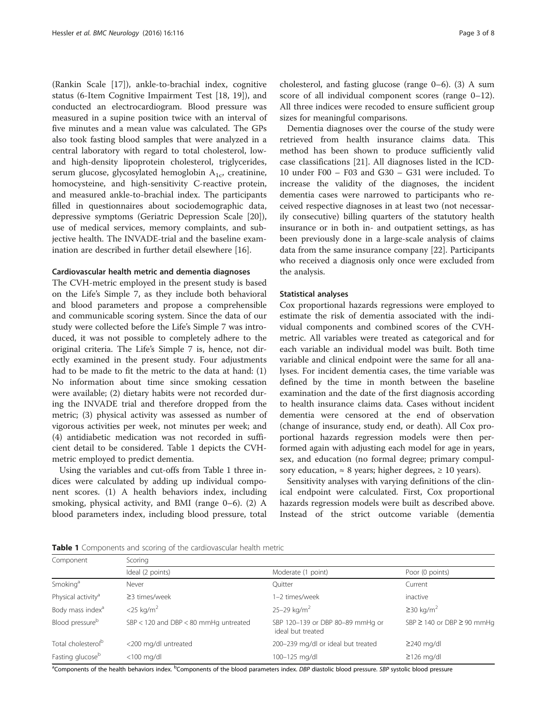(Rankin Scale [\[17\]](#page-7-0)), ankle-to-brachial index, cognitive status (6-Item Cognitive Impairment Test [[18, 19](#page-7-0)]), and conducted an electrocardiogram. Blood pressure was measured in a supine position twice with an interval of five minutes and a mean value was calculated. The GPs also took fasting blood samples that were analyzed in a central laboratory with regard to total cholesterol, lowand high-density lipoprotein cholesterol, triglycerides, serum glucose, glycosylated hemoglobin  $A_{1c}$ , creatinine, homocysteine, and high-sensitivity C-reactive protein, and measured ankle-to-brachial index. The participants filled in questionnaires about sociodemographic data, depressive symptoms (Geriatric Depression Scale [\[20](#page-7-0)]), use of medical services, memory complaints, and subjective health. The INVADE-trial and the baseline examination are described in further detail elsewhere [[16\]](#page-7-0).

## Cardiovascular health metric and dementia diagnoses

The CVH-metric employed in the present study is based on the Life's Simple 7, as they include both behavioral and blood parameters and propose a comprehensible and communicable scoring system. Since the data of our study were collected before the Life's Simple 7 was introduced, it was not possible to completely adhere to the original criteria. The Life's Simple 7 is, hence, not directly examined in the present study. Four adjustments had to be made to fit the metric to the data at hand: (1) No information about time since smoking cessation were available; (2) dietary habits were not recorded during the INVADE trial and therefore dropped from the metric; (3) physical activity was assessed as number of vigorous activities per week, not minutes per week; and (4) antidiabetic medication was not recorded in sufficient detail to be considered. Table 1 depicts the CVHmetric employed to predict dementia.

Using the variables and cut-offs from Table 1 three indices were calculated by adding up individual component scores. (1) A health behaviors index, including smoking, physical activity, and BMI (range 0–6). (2) A blood parameters index, including blood pressure, total

cholesterol, and fasting glucose (range 0–6). (3) A sum score of all individual component scores (range 0–12). All three indices were recoded to ensure sufficient group sizes for meaningful comparisons.

Dementia diagnoses over the course of the study were retrieved from health insurance claims data. This method has been shown to produce sufficiently valid case classifications [[21\]](#page-7-0). All diagnoses listed in the ICD-10 under F00 – F03 and G30 – G31 were included. To increase the validity of the diagnoses, the incident dementia cases were narrowed to participants who received respective diagnoses in at least two (not necessarily consecutive) billing quarters of the statutory health insurance or in both in- and outpatient settings, as has been previously done in a large-scale analysis of claims data from the same insurance company [\[22](#page-7-0)]. Participants who received a diagnosis only once were excluded from the analysis.

#### Statistical analyses

Cox proportional hazards regressions were employed to estimate the risk of dementia associated with the individual components and combined scores of the CVHmetric. All variables were treated as categorical and for each variable an individual model was built. Both time variable and clinical endpoint were the same for all analyses. For incident dementia cases, the time variable was defined by the time in month between the baseline examination and the date of the first diagnosis according to health insurance claims data. Cases without incident dementia were censored at the end of observation (change of insurance, study end, or death). All Cox proportional hazards regression models were then performed again with adjusting each model for age in years, sex, and education (no formal degree; primary compulsory education,  $\approx 8$  years; higher degrees,  $\ge 10$  years).

Sensitivity analyses with varying definitions of the clinical endpoint were calculated. First, Cox proportional hazards regression models were built as described above. Instead of the strict outcome variable (dementia

Table 1 Components and scoring of the cardiovascular health metric

| Component                      | Scoring                                   |                                                       |                                      |  |  |
|--------------------------------|-------------------------------------------|-------------------------------------------------------|--------------------------------------|--|--|
|                                | Ideal (2 points)                          | Moderate (1 point)                                    | Poor (0 points)                      |  |  |
| Smoking <sup>a</sup>           | Never                                     | Quitter                                               | Current                              |  |  |
| Physical activity <sup>a</sup> | $\geq$ 3 times/week                       | 1-2 times/week                                        | inactive                             |  |  |
| Body mass index <sup>a</sup>   | $<$ 25 kg/m <sup>2</sup>                  | $25 - 29$ kg/m <sup>2</sup>                           | $\geq$ 30 kg/m <sup>2</sup>          |  |  |
| Blood pressure <sup>b</sup>    | $SBP < 120$ and $DBP < 80$ mmHg untreated | SBP 120-139 or DBP 80-89 mmHg or<br>ideal but treated | SBP $\geq$ 140 or DBP $\geq$ 90 mmHg |  |  |
| Total cholesterol <sup>b</sup> | <200 mg/dl untreated                      | 200-239 mg/dl or ideal but treated                    | $\geq$ 240 mg/dl                     |  |  |
| Fasting glucose <sup>b</sup>   | $<$ 100 mg/dl                             | 100-125 mg/dl                                         | $\geq$ 126 mg/dl                     |  |  |

<sup>a</sup>Components of the health behaviors index. <sup>b</sup>Components of the blood parameters index. DBP diastolic blood pressure. SBP systolic blood pressure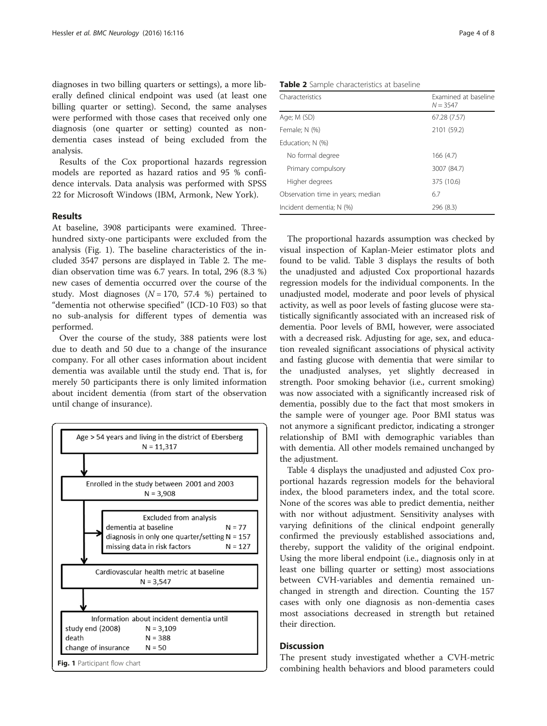diagnoses in two billing quarters or settings), a more liberally defined clinical endpoint was used (at least one billing quarter or setting). Second, the same analyses were performed with those cases that received only one diagnosis (one quarter or setting) counted as nondementia cases instead of being excluded from the analysis.

Results of the Cox proportional hazards regression models are reported as hazard ratios and 95 % confidence intervals. Data analysis was performed with SPSS 22 for Microsoft Windows (IBM, Armonk, New York).

## Results

At baseline, 3908 participants were examined. Threehundred sixty-one participants were excluded from the analysis (Fig. 1). The baseline characteristics of the included 3547 persons are displayed in Table 2. The median observation time was 6.7 years. In total, 296 (8.3 %) new cases of dementia occurred over the course of the study. Most diagnoses  $(N = 170, 57.4 \%)$  pertained to "dementia not otherwise specified" (ICD-10 F03) so that no sub-analysis for different types of dementia was performed.

Over the course of the study, 388 patients were lost due to death and 50 due to a change of the insurance company. For all other cases information about incident dementia was available until the study end. That is, for merely 50 participants there is only limited information about incident dementia (from start of the observation until change of insurance).



Characteristics **Examined** at baseline  $N = 3547$ Age; M (SD) 67.28 (7.57) Female; N (%) 2101 (59.2) Education; N (%) No formal degree 166 (4.7) Primary compulsory 3007 (84.7) Higher degrees 375 (10.6) Observation time in years; median 6.7 Incident dementia; N (%) 296 (8.3)

The proportional hazards assumption was checked by visual inspection of Kaplan-Meier estimator plots and found to be valid. Table [3](#page-4-0) displays the results of both the unadjusted and adjusted Cox proportional hazards regression models for the individual components. In the unadjusted model, moderate and poor levels of physical activity, as well as poor levels of fasting glucose were statistically significantly associated with an increased risk of dementia. Poor levels of BMI, however, were associated with a decreased risk. Adjusting for age, sex, and education revealed significant associations of physical activity and fasting glucose with dementia that were similar to the unadjusted analyses, yet slightly decreased in strength. Poor smoking behavior (i.e., current smoking) was now associated with a significantly increased risk of dementia, possibly due to the fact that most smokers in the sample were of younger age. Poor BMI status was not anymore a significant predictor, indicating a stronger relationship of BMI with demographic variables than with dementia. All other models remained unchanged by the adjustment.

Table [4](#page-4-0) displays the unadjusted and adjusted Cox proportional hazards regression models for the behavioral index, the blood parameters index, and the total score. None of the scores was able to predict dementia, neither with nor without adjustment. Sensitivity analyses with varying definitions of the clinical endpoint generally confirmed the previously established associations and, thereby, support the validity of the original endpoint. Using the more liberal endpoint (i.e., diagnosis only in at least one billing quarter or setting) most associations between CVH-variables and dementia remained unchanged in strength and direction. Counting the 157 cases with only one diagnosis as non-dementia cases most associations decreased in strength but retained their direction.

# **Discussion**

The present study investigated whether a CVH-metric

|  |  | <b>Table 2</b> Sample characteristics at baseline |  |  |
|--|--|---------------------------------------------------|--|--|
|--|--|---------------------------------------------------|--|--|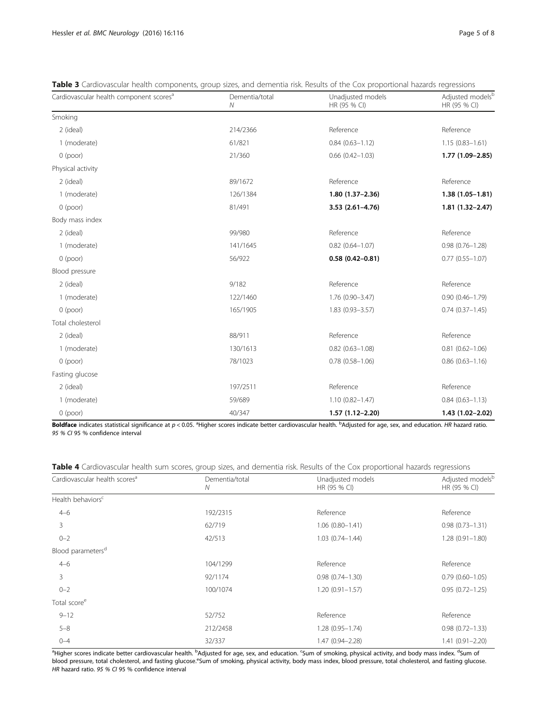| Cardiovascular health component scores <sup>a</sup> | Dementia/total<br>$\mathcal N$ | Unadjusted models<br>HR (95 % CI) | Adjusted models <sup>b</sup><br>HR (95 % CI) |
|-----------------------------------------------------|--------------------------------|-----------------------------------|----------------------------------------------|
| Smoking                                             |                                |                                   |                                              |
| 2 (ideal)                                           | 214/2366                       | Reference                         | Reference                                    |
| 1 (moderate)                                        | 61/821                         | $0.84(0.63 - 1.12)$               | $1.15(0.83 - 1.61)$                          |
| $0$ (poor)                                          | 21/360                         | $0.66$ $(0.42 - 1.03)$            | $1.77(1.09 - 2.85)$                          |
| Physical activity                                   |                                |                                   |                                              |
| 2 (ideal)                                           | 89/1672                        | Reference                         | Reference                                    |
| 1 (moderate)                                        | 126/1384                       | $1.80(1.37-2.36)$                 | $1.38(1.05 - 1.81)$                          |
| $0$ (poor)                                          | 81/491                         | $3.53(2.61 - 4.76)$               | $1.81(1.32 - 2.47)$                          |
| Body mass index                                     |                                |                                   |                                              |
| 2 (ideal)                                           | 99/980                         | Reference                         | Reference                                    |
| 1 (moderate)                                        | 141/1645                       | $0.82$ $(0.64 - 1.07)$            | $0.98(0.76 - 1.28)$                          |
| $0$ (poor)                                          | 56/922                         | $0.58(0.42 - 0.81)$               | $0.77(0.55 - 1.07)$                          |
| Blood pressure                                      |                                |                                   |                                              |
| 2 (ideal)                                           | 9/182                          | Reference                         | Reference                                    |
| 1 (moderate)                                        | 122/1460                       | 1.76 (0.90-3.47)                  | $0.90(0.46 - 1.79)$                          |
| $0$ (poor)                                          | 165/1905                       | $1.83(0.93 - 3.57)$               | $0.74(0.37 - 1.45)$                          |
| Total cholesterol                                   |                                |                                   |                                              |
| 2 (ideal)                                           | 88/911                         | Reference                         | Reference                                    |
| 1 (moderate)                                        | 130/1613                       | $0.82(0.63 - 1.08)$               | $0.81(0.62 - 1.06)$                          |
| $0$ (poor)                                          | 78/1023                        | $0.78(0.58 - 1.06)$               | $0.86$ $(0.63 - 1.16)$                       |
| Fasting glucose                                     |                                |                                   |                                              |
| 2 (ideal)                                           | 197/2511                       | Reference                         | Reference                                    |
| 1 (moderate)                                        | 59/689                         | $1.10(0.82 - 1.47)$               | $0.84(0.63 - 1.13)$                          |
| $0$ (poor)                                          | 40/347                         | $1.57(1.12 - 2.20)$               | $1.43(1.02 - 2.02)$                          |

<span id="page-4-0"></span>Table 3 Cardiovascular health components, group sizes, and dementia risk. Results of the Cox proportional hazards regressions

**Boldface** indicates statistical significance at p < 0.05. <sup>a</sup>Higher scores indicate better cardiovascular health. <sup>b</sup>Adjusted for age, sex, and education. HR hazard ratio.<br>95 % Cl 95 % confidence interval 95 % CI 95 % confidence interval

Table 4 Cardiovascular health sum scores, group sizes, and dementia risk. Results of the Cox proportional hazards regressions

| Cardiovascular health scores <sup>a</sup> | Dementia/total<br>N | Unadjusted models<br>HR (95 % CI) | Adjusted modelsb<br>HR (95 % CI) |
|-------------------------------------------|---------------------|-----------------------------------|----------------------------------|
| Health behaviors <sup>c</sup>             |                     |                                   |                                  |
| $4 - 6$                                   | 192/2315            | Reference                         | Reference                        |
| 3                                         | 62/719              | $1.06(0.80 - 1.41)$               | $0.98(0.73 - 1.31)$              |
| $0 - 2$                                   | 42/513              | $1.03(0.74 - 1.44)$               | $1.28(0.91 - 1.80)$              |
| Blood parameters <sup>d</sup>             |                     |                                   |                                  |
| $4 - 6$                                   | 104/1299            | Reference                         | Reference                        |
| 3                                         | 92/1174             | $0.98(0.74 - 1.30)$               | $0.79(0.60 - 1.05)$              |
| $0 - 2$                                   | 100/1074            | $1.20(0.91 - 1.57)$               | $0.95(0.72 - 1.25)$              |
| Total score <sup>e</sup>                  |                     |                                   |                                  |
| $9 - 12$                                  | 52/752              | Reference                         | Reference                        |
| $5 - 8$                                   | 212/2458            | $1.28(0.95 - 1.74)$               | $0.98(0.72 - 1.33)$              |
| $0 - 4$                                   | 32/337              | 1.47 (0.94-2.28)                  | $1.41(0.91 - 2.20)$              |

<sup>a</sup>Higher scores indicate better cardiovascular health. <sup>b</sup>Adjusted for age, sex, and education. <sup>c</sup>Sum of smoking, physical activity, and body mass index. <sup>d</sup>Sum of blood pressure, total cholesterol, and fasting glucose.<sup>e</sup>Sum of smoking, physical activity, body mass index, blood pressure, total cholesterol, and fasting glucose. HR hazard ratio. 95 % CI 95 % confidence interval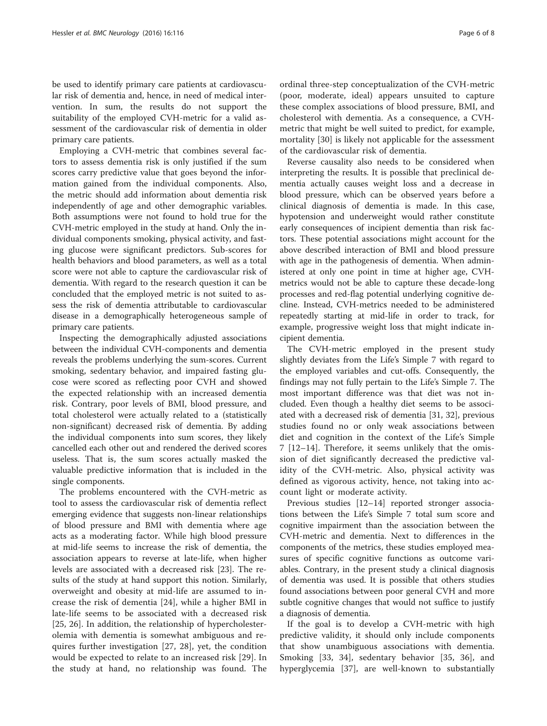be used to identify primary care patients at cardiovascular risk of dementia and, hence, in need of medical intervention. In sum, the results do not support the suitability of the employed CVH-metric for a valid assessment of the cardiovascular risk of dementia in older primary care patients.

Employing a CVH-metric that combines several factors to assess dementia risk is only justified if the sum scores carry predictive value that goes beyond the information gained from the individual components. Also, the metric should add information about dementia risk independently of age and other demographic variables. Both assumptions were not found to hold true for the CVH-metric employed in the study at hand. Only the individual components smoking, physical activity, and fasting glucose were significant predictors. Sub-scores for health behaviors and blood parameters, as well as a total score were not able to capture the cardiovascular risk of dementia. With regard to the research question it can be concluded that the employed metric is not suited to assess the risk of dementia attributable to cardiovascular disease in a demographically heterogeneous sample of primary care patients.

Inspecting the demographically adjusted associations between the individual CVH-components and dementia reveals the problems underlying the sum-scores. Current smoking, sedentary behavior, and impaired fasting glucose were scored as reflecting poor CVH and showed the expected relationship with an increased dementia risk. Contrary, poor levels of BMI, blood pressure, and total cholesterol were actually related to a (statistically non-significant) decreased risk of dementia. By adding the individual components into sum scores, they likely cancelled each other out and rendered the derived scores useless. That is, the sum scores actually masked the valuable predictive information that is included in the single components.

The problems encountered with the CVH-metric as tool to assess the cardiovascular risk of dementia reflect emerging evidence that suggests non-linear relationships of blood pressure and BMI with dementia where age acts as a moderating factor. While high blood pressure at mid-life seems to increase the risk of dementia, the association appears to reverse at late-life, when higher levels are associated with a decreased risk [[23\]](#page-7-0). The results of the study at hand support this notion. Similarly, overweight and obesity at mid-life are assumed to increase the risk of dementia [[24](#page-7-0)], while a higher BMI in late-life seems to be associated with a decreased risk [[25, 26](#page-7-0)]. In addition, the relationship of hypercholesterolemia with dementia is somewhat ambiguous and requires further investigation [\[27](#page-7-0), [28\]](#page-7-0), yet, the condition would be expected to relate to an increased risk [\[29](#page-7-0)]. In the study at hand, no relationship was found. The

ordinal three-step conceptualization of the CVH-metric (poor, moderate, ideal) appears unsuited to capture these complex associations of blood pressure, BMI, and cholesterol with dementia. As a consequence, a CVHmetric that might be well suited to predict, for example, mortality [[30](#page-7-0)] is likely not applicable for the assessment of the cardiovascular risk of dementia.

Reverse causality also needs to be considered when interpreting the results. It is possible that preclinical dementia actually causes weight loss and a decrease in blood pressure, which can be observed years before a clinical diagnosis of dementia is made. In this case, hypotension and underweight would rather constitute early consequences of incipient dementia than risk factors. These potential associations might account for the above described interaction of BMI and blood pressure with age in the pathogenesis of dementia. When administered at only one point in time at higher age, CVHmetrics would not be able to capture these decade-long processes and red-flag potential underlying cognitive decline. Instead, CVH-metrics needed to be administered repeatedly starting at mid-life in order to track, for example, progressive weight loss that might indicate incipient dementia.

The CVH-metric employed in the present study slightly deviates from the Life's Simple 7 with regard to the employed variables and cut-offs. Consequently, the findings may not fully pertain to the Life's Simple 7. The most important difference was that diet was not included. Even though a healthy diet seems to be associated with a decreased risk of dementia [\[31](#page-7-0), [32](#page-7-0)], previous studies found no or only weak associations between diet and cognition in the context of the Life's Simple 7 [\[12](#page-7-0)–[14](#page-7-0)]. Therefore, it seems unlikely that the omission of diet significantly decreased the predictive validity of the CVH-metric. Also, physical activity was defined as vigorous activity, hence, not taking into account light or moderate activity.

Previous studies [\[12](#page-7-0)–[14\]](#page-7-0) reported stronger associations between the Life's Simple 7 total sum score and cognitive impairment than the association between the CVH-metric and dementia. Next to differences in the components of the metrics, these studies employed measures of specific cognitive functions as outcome variables. Contrary, in the present study a clinical diagnosis of dementia was used. It is possible that others studies found associations between poor general CVH and more subtle cognitive changes that would not suffice to justify a diagnosis of dementia.

If the goal is to develop a CVH-metric with high predictive validity, it should only include components that show unambiguous associations with dementia. Smoking [[33, 34\]](#page-7-0), sedentary behavior [[35, 36](#page-7-0)], and hyperglycemia [[37\]](#page-7-0), are well-known to substantially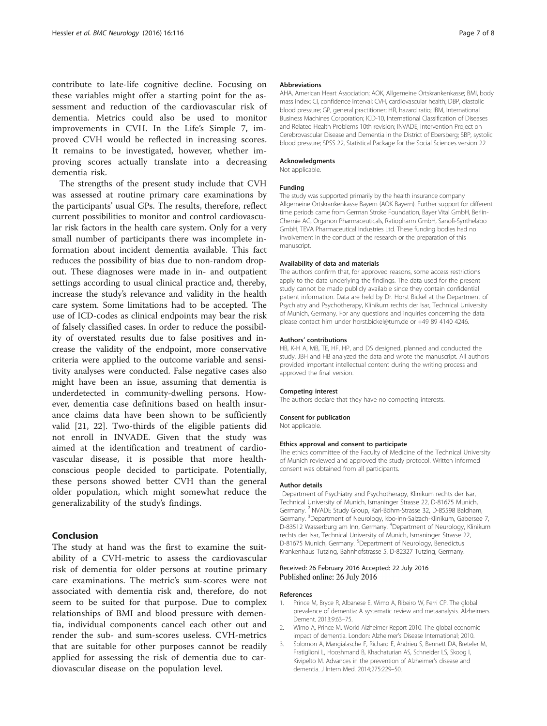<span id="page-6-0"></span>contribute to late-life cognitive decline. Focusing on these variables might offer a starting point for the assessment and reduction of the cardiovascular risk of dementia. Metrics could also be used to monitor improvements in CVH. In the Life's Simple 7, improved CVH would be reflected in increasing scores. It remains to be investigated, however, whether improving scores actually translate into a decreasing dementia risk.

The strengths of the present study include that CVH was assessed at routine primary care examinations by the participants' usual GPs. The results, therefore, reflect current possibilities to monitor and control cardiovascular risk factors in the health care system. Only for a very small number of participants there was incomplete information about incident dementia available. This fact reduces the possibility of bias due to non-random dropout. These diagnoses were made in in- and outpatient settings according to usual clinical practice and, thereby, increase the study's relevance and validity in the health care system. Some limitations had to be accepted. The use of ICD-codes as clinical endpoints may bear the risk of falsely classified cases. In order to reduce the possibility of overstated results due to false positives and increase the validity of the endpoint, more conservative criteria were applied to the outcome variable and sensitivity analyses were conducted. False negative cases also might have been an issue, assuming that dementia is underdetected in community-dwelling persons. However, dementia case definitions based on health insurance claims data have been shown to be sufficiently valid [[21, 22\]](#page-7-0). Two-thirds of the eligible patients did not enroll in INVADE. Given that the study was aimed at the identification and treatment of cardiovascular disease, it is possible that more healthconscious people decided to participate. Potentially, these persons showed better CVH than the general older population, which might somewhat reduce the generalizability of the study's findings.

# Conclusion

The study at hand was the first to examine the suitability of a CVH-metric to assess the cardiovascular risk of dementia for older persons at routine primary care examinations. The metric's sum-scores were not associated with dementia risk and, therefore, do not seem to be suited for that purpose. Due to complex relationships of BMI and blood pressure with dementia, individual components cancel each other out and render the sub- and sum-scores useless. CVH-metrics that are suitable for other purposes cannot be readily applied for assessing the risk of dementia due to cardiovascular disease on the population level.

#### **Abbreviations**

AHA, American Heart Association; AOK, Allgemeine Ortskrankenkasse; BMI, body mass index; CI, confidence interval; CVH, cardiovascular health; DBP, diastolic blood pressure; GP, general practitioner; HR, hazard ratio; IBM, International Business Machines Corporation; ICD-10, International Classification of Diseases and Related Health Problems 10th revision; INVADE, Intervention Project on Cerebrovascular Disease and Dementia in the District of Ebersberg; SBP, systolic blood pressure; SPSS 22, Statistical Package for the Social Sciences version 22

## Acknowledgments

Not applicable.

### Funding

The study was supported primarily by the health insurance company Allgemeine Ortskrankenkasse Bayern (AOK Bayern). Further support for different time periods came from German Stroke Foundation, Bayer Vital GmbH, Berlin-Chemie AG, Organon Pharmaceuticals, Ratiopharm GmbH, Sanofi-Synthelabo GmbH, TEVA Pharmaceutical Industries Ltd. These funding bodies had no involvement in the conduct of the research or the preparation of this manuscript.

#### Availability of data and materials

The authors confirm that, for approved reasons, some access restrictions apply to the data underlying the findings. The data used for the present study cannot be made publicly available since they contain confidential patient information. Data are held by Dr. Horst Bickel at the Department of Psychiatry and Psychotherapy, Klinikum rechts der Isar, Technical University of Munich, Germany. For any questions and inquiries concerning the data please contact him under horst.bickel@tum.de or +49 89 4140 4246.

#### Authors' contributions

HB, K-H A, MB, TE, HF, HP, and DS designed, planned and conducted the study. JBH and HB analyzed the data and wrote the manuscript. All authors provided important intellectual content during the writing process and approved the final version.

#### Competing interest

The authors declare that they have no competing interests.

#### Consent for publication

Not applicable.

#### Ethics approval and consent to participate

The ethics committee of the Faculty of Medicine of the Technical University of Munich reviewed and approved the study protocol. Written informed consent was obtained from all participants.

#### Author details

<sup>1</sup>Department of Psychiatry and Psychotherapy, Klinikum rechts der Isar Technical University of Munich, Ismaninger Strasse 22, D-81675 Munich, Germany. <sup>2</sup>INVADE Study Group, Karl-Böhm-Strasse 32, D-85598 Baldham, Germany. <sup>3</sup>Department of Neurology, kbo-Inn-Salzach-Klinikum, Gabersee 7, D-83512 Wasserburg am Inn, Germany. <sup>4</sup>Department of Neurology, Klinikum rechts der Isar, Technical University of Munich, Ismaninger Strasse 22, D-81675 Munich, Germany. <sup>5</sup>Department of Neurology, Benedictus Krankenhaus Tutzing, Bahnhofstrasse 5, D-82327 Tutzing, Germany.

#### Received: 26 February 2016 Accepted: 22 July 2016 Published online: 26 July 2016

#### References

- 1. Prince M, Bryce R, Albanese E, Wimo A, Ribeiro W, Ferri CP. The global prevalence of dementia: A systematic review and metaanalysis. Alzheimers Dement. 2013;9:63–75.
- 2. Wimo A, Prince M. World Alzheimer Report 2010: The global economic impact of dementia. London: Alzheimer's Disease International; 2010.
- 3. Solomon A, Mangialasche F, Richard E, Andrieu S, Bennett DA, Breteler M, Fratiglioni L, Hooshmand B, Khachaturian AS, Schneider LS, Skoog I, Kivipelto M. Advances in the prevention of Alzheimer's disease and dementia. J Intern Med. 2014;275:229–50.